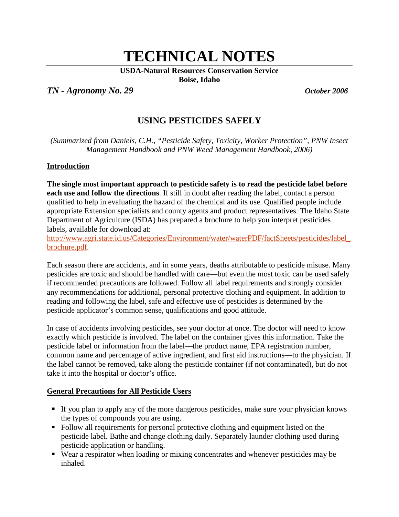# **TECHNICAL NOTES**

**USDA-Natural Resources Conservation Service**

**Boise, Idaho**

*TN - Agronomy No. 29 October 2006*

# **USING PESTICIDES SAFELY**

*(Summarized from Daniels, C.H., "Pesticide Safety, Toxicity, Worker Protection", PNW Insect Management Handbook and PNW Weed Management Handbook, 2006)*

# **Introduction**

**The single most important approach to pesticide safety is to read the pesticide label before each use and follow the directions**. If still in doubt after reading the label, contact a person qualified to help in evaluating the hazard of the chemical and its use. Qualified people include appropriate Extension specialists and county agents and product representatives. The Idaho State Department of Agriculture (ISDA) has prepared a brochure to help you interpret pesticides labels, available for download at:

[http://www.agri.state.id.us/Categories/Environment/water/waterPDF/factSheets/pesticides/label\\_](http://www.agri.state.id.us/Categories/Environment/water/waterPDF/factSheets/pesticides/label_brochure.pdf) [brochure.pdf.](http://www.agri.state.id.us/Categories/Environment/water/waterPDF/factSheets/pesticides/label_brochure.pdf)

Each season there are accidents, and in some years, deaths attributable to pesticide misuse. Many pesticides are toxic and should be handled with care—but even the most toxic can be used safely if recommended precautions are followed. Follow all label requirements and strongly consider any recommendations for additional, personal protective clothing and equipment. In addition to reading and following the label, safe and effective use of pesticides is determined by the pesticide applicator's common sense, qualifications and good attitude.

In case of accidents involving pesticides, see your doctor at once. The doctor will need to know exactly which pesticide is involved. The label on the container gives this information. Take the pesticide label or information from the label—the product name, EPA registration number, common name and percentage of active ingredient, and first aid instructions—to the physician. If the label cannot be removed, take along the pesticide container (if not contaminated), but do not take it into the hospital or doctor's office.

# **General Precautions for All Pesticide Users**

- If you plan to apply any of the more dangerous pesticides, make sure your physician knows the types of compounds you are using.
- Follow all requirements for personal protective clothing and equipment listed on the pesticide label. Bathe and change clothing daily. Separately launder clothing used during pesticide application or handling.
- Wear a respirator when loading or mixing concentrates and whenever pesticides may be inhaled.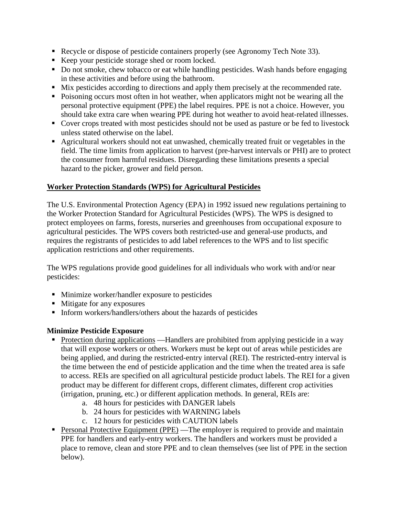- Recycle or dispose of pesticide containers properly (see Agronomy Tech Note 33).
- Keep your pesticide storage shed or room locked.
- Do not smoke, chew tobacco or eat while handling pesticides. Wash hands before engaging in these activities and before using the bathroom.
- Mix pesticides according to directions and apply them precisely at the recommended rate.
- Poisoning occurs most often in hot weather, when applicators might not be wearing all the personal protective equipment (PPE) the label requires. PPE is not a choice. However, you should take extra care when wearing PPE during hot weather to avoid heat-related illnesses.
- Cover crops treated with most pesticides should not be used as pasture or be fed to livestock unless stated otherwise on the label.
- Agricultural workers should not eat unwashed, chemically treated fruit or vegetables in the field. The time limits from application to harvest (pre-harvest intervals or PHI) are to protect the consumer from harmful residues. Disregarding these limitations presents a special hazard to the picker, grower and field person.

# **Worker Protection Standards (WPS) for Agricultural Pesticides**

The U.S. Environmental Protection Agency (EPA) in 1992 issued new regulations pertaining to the Worker Protection Standard for Agricultural Pesticides (WPS). The WPS is designed to protect employees on farms, forests, nurseries and greenhouses from occupational exposure to agricultural pesticides. The WPS covers both restricted-use and general-use products, and requires the registrants of pesticides to add label references to the WPS and to list specific application restrictions and other requirements.

The WPS regulations provide good guidelines for all individuals who work with and/or near pesticides:

- Minimize worker/handler exposure to pesticides
- Mitigate for any exposures
- **Inform workers/handlers/others about the hazards of pesticides**

# **Minimize Pesticide Exposure**

- Protection during applications Handlers are prohibited from applying pesticide in a way that will expose workers or others. Workers must be kept out of areas while pesticides are being applied, and during the restricted-entry interval (REI). The restricted-entry interval is the time between the end of pesticide application and the time when the treated area is safe to access. REIs are specified on all agricultural pesticide product labels. The REI for a given product may be different for different crops, different climates, different crop activities (irrigation, pruning, etc.) or different application methods. In general, REIs are:
	- a. 48 hours for pesticides with DANGER labels
	- b. 24 hours for pesticides with WARNING labels
	- c. 12 hours for pesticides with CAUTION labels
- **Personal Protective Equipment (PPE)** —The employer is required to provide and maintain PPE for handlers and early-entry workers. The handlers and workers must be provided a place to remove, clean and store PPE and to clean themselves (see list of PPE in the section below).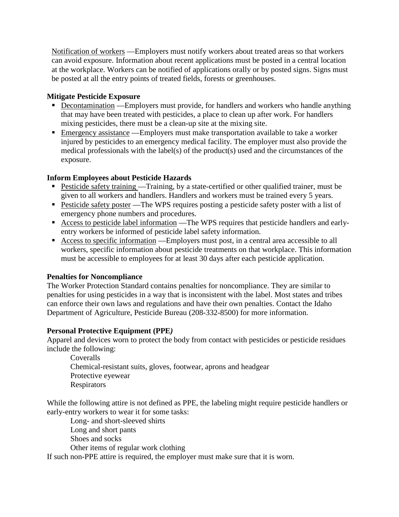Notification of workers —Employers must notify workers about treated areas so that workers can avoid exposure. Information about recent applications must be posted in a central location at the workplace. Workers can be notified of applications orally or by posted signs. Signs must be posted at all the entry points of treated fields, forests or greenhouses.

# **Mitigate Pesticide Exposure**

- **Decontamination** Employers must provide, for handlers and workers who handle anything that may have been treated with pesticides, a place to clean up after work. For handlers mixing pesticides, there must be a clean-up site at the mixing site.
- **Emergency assistance** —Employers must make transportation available to take a worker injured by pesticides to an emergency medical facility. The employer must also provide the medical professionals with the label(s) of the product(s) used and the circumstances of the exposure.

# **Inform Employees about Pesticide Hazards**

- Pesticide safety training Training, by a state-certified or other qualified trainer, must be given to all workers and handlers. Handlers and workers must be trained every 5 years.
- Pesticide safety poster —The WPS requires posting a pesticide safety poster with a list of emergency phone numbers and procedures.
- **Access to pesticide label information** The WPS requires that pesticide handlers and earlyentry workers be informed of pesticide label safety information.
- Access to specific information —Employers must post, in a central area accessible to all workers, specific information about pesticide treatments on that workplace. This information must be accessible to employees for at least 30 days after each pesticide application.

# **Penalties for Noncompliance**

The Worker Protection Standard contains penalties for noncompliance. They are similar to penalties for using pesticides in a way that is inconsistent with the label. Most states and tribes can enforce their own laws and regulations and have their own penalties. Contact the Idaho Department of Agriculture, Pesticide Bureau (208-332-8500) for more information.

# **Personal Protective Equipment (PPE***)*

Apparel and devices worn to protect the body from contact with pesticides or pesticide residues include the following:

Coveralls Chemical-resistant suits, gloves, footwear, aprons and headgear Protective eyewear **Respirators** 

While the following attire is not defined as PPE, the labeling might require pesticide handlers or early-entry workers to wear it for some tasks:

Long- and short-sleeved shirts Long and short pants Shoes and socks Other items of regular work clothing

If such non-PPE attire is required, the employer must make sure that it is worn.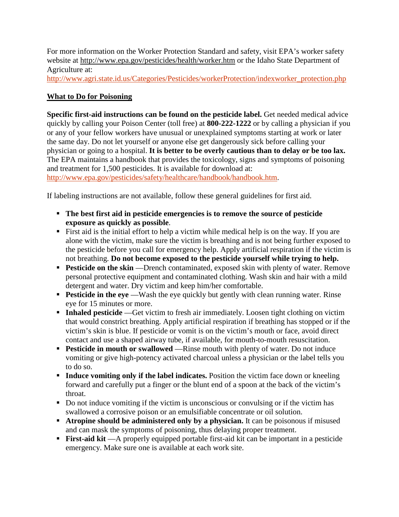For more information on the Worker Protection Standard and safety, visit EPA's worker safety website at <http://www.epa.gov/pesticides/health/worker.htm> or the Idaho State Department of Agriculture at:

[http://www.agri.state.id.us/Categories/Pesticides/workerProtection/indexworker\\_protection.php](http://www.agri.state.id.us/Categories/Pesticides/workerProtection/indexworker_protection.php)

# **What to Do for Poisoning**

**Specific first-aid instructions can be found on the pesticide label.** Get needed medical advice quickly by calling your Poison Center (toll free) at **800-222-1222** or by calling a physician if you or any of your fellow workers have unusual or unexplained symptoms starting at work or later the same day. Do not let yourself or anyone else get dangerously sick before calling your physician or going to a hospital. **It is better to be overly cautious than to delay or be too lax.** The EPA maintains a handbook that provides the toxicology, signs and symptoms of poisoning and treatment for 1,500 pesticides. It is available for download at: [http://www.epa.gov/pesticides/safety/healthcare/handbook/handbook.htm.](http://www.epa.gov/pesticides/safety/healthcare/handbook/handbook.htm)

If labeling instructions are not available, follow these general guidelines for first aid.

- **The best first aid in pesticide emergencies is to remove the source of pesticide exposure as quickly as possible**.
- First aid is the initial effort to help a victim while medical help is on the way. If you are alone with the victim, make sure the victim is breathing and is not being further exposed to the pesticide before you call for emergency help. Apply artificial respiration if the victim is not breathing. **Do not become exposed to the pesticide yourself while trying to help.**
- **Pesticide on the skin** —Drench contaminated, exposed skin with plenty of water. Remove personal protective equipment and contaminated clothing. Wash skin and hair with a mild detergent and water. Dry victim and keep him/her comfortable.
- **Pesticide in the eye** —Wash the eye quickly but gently with clean running water. Rinse eye for 15 minutes or more.
- **Inhaled pesticide** —Get victim to fresh air immediately. Loosen tight clothing on victim that would constrict breathing. Apply artificial respiration if breathing has stopped or if the victim's skin is blue. If pesticide or vomit is on the victim's mouth or face, avoid direct contact and use a shaped airway tube, if available, for mouth-to-mouth resuscitation.
- **Pesticide in mouth or swallowed** —Rinse mouth with plenty of water. Do not induce vomiting or give high-potency activated charcoal unless a physician or the label tells you to do so.
- **Induce vomiting only if the label indicates.** Position the victim face down or kneeling forward and carefully put a finger or the blunt end of a spoon at the back of the victim's throat.
- Do not induce vomiting if the victim is unconscious or convulsing or if the victim has swallowed a corrosive poison or an emulsifiable concentrate or oil solution.
- **Atropine should be administered only by a physician.** It can be poisonous if misused and can mask the symptoms of poisoning, thus delaying proper treatment.
- **First-aid kit** —A properly equipped portable first-aid kit can be important in a pesticide emergency. Make sure one is available at each work site.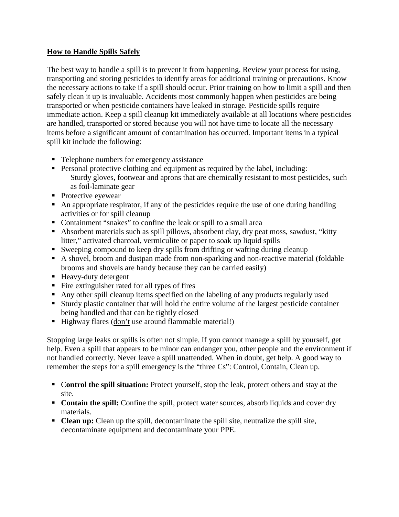# **How to Handle Spills Safely**

The best way to handle a spill is to prevent it from happening. Review your process for using, transporting and storing pesticides to identify areas for additional training or precautions. Know the necessary actions to take if a spill should occur. Prior training on how to limit a spill and then safely clean it up is invaluable. Accidents most commonly happen when pesticides are being transported or when pesticide containers have leaked in storage. Pesticide spills require immediate action. Keep a spill cleanup kit immediately available at all locations where pesticides are handled, transported or stored because you will not have time to locate all the necessary items before a significant amount of contamination has occurred. Important items in a typical spill kit include the following:

- Telephone numbers for emergency assistance
- **Personal protective clothing and equipment as required by the label, including:** Sturdy gloves, footwear and aprons that are chemically resistant to most pesticides, such as foil-laminate gear
- Protective eyewear
- An appropriate respirator, if any of the pesticides require the use of one during handling activities or for spill cleanup
- Containment "snakes" to confine the leak or spill to a small area
- Absorbent materials such as spill pillows, absorbent clay, dry peat moss, sawdust, "kitty litter," activated charcoal, vermiculite or paper to soak up liquid spills
- Sweeping compound to keep dry spills from drifting or wafting during cleanup
- A shovel, broom and dustpan made from non-sparking and non-reactive material (foldable brooms and shovels are handy because they can be carried easily)
- Heavy-duty detergent
- $\blacksquare$  Fire extinguisher rated for all types of fires
- Any other spill cleanup items specified on the labeling of any products regularly used
- Sturdy plastic container that will hold the entire volume of the largest pesticide container being handled and that can be tightly closed
- Highway flares (don't use around flammable material!)

Stopping large leaks or spills is often not simple. If you cannot manage a spill by yourself, get help. Even a spill that appears to be minor can endanger you, other people and the environment if not handled correctly. Never leave a spill unattended. When in doubt, get help. A good way to remember the steps for a spill emergency is the "three Cs": Control, Contain, Clean up.

- C**ontrol the spill situation:** Protect yourself, stop the leak, protect others and stay at the site.
- **Contain the spill:** Confine the spill, protect water sources, absorb liquids and cover dry materials.
- **Clean up:** Clean up the spill, decontaminate the spill site, neutralize the spill site, decontaminate equipment and decontaminate your PPE.